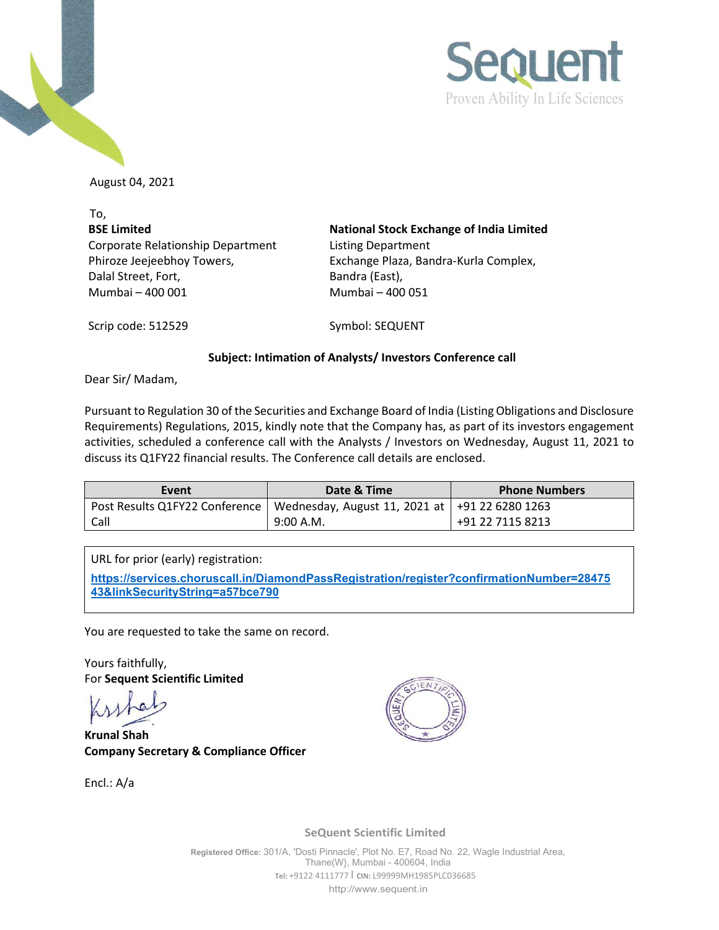



August 04, 2021

To, **BSE Limited** Corporate Relationship Department Phiroze Jeejeebhoy Towers, Dalal Street, Fort, Mumbai – 400 001 Mumbai – 400 051

**National Stock Exchange of India Limited** Listing Department Exchange Plaza, Bandra-Kurla Complex, Bandra (East),

Scrip code: 512529 Symbol: SEQUENT

## **Subject: Intimation of Analysts/ Investors Conference call**

Dear Sir/ Madam,

Pursuant to Regulation 30 of the Securities and Exchange Board of India (Listing Obligations and Disclosure Requirements) Regulations, 2015, kindly note that the Company has, as part of its investors engagement activities, scheduled a conference call with the Analysts / Investors on Wednesday, August 11, 2021 to discuss its Q1FY22 financial results. The Conference call details are enclosed.

| Event | Date & Time                                                                       | <b>Phone Numbers</b> |
|-------|-----------------------------------------------------------------------------------|----------------------|
|       | Post Results Q1FY22 Conference   Wednesday, August 11, 2021 at   +91 22 6280 1263 |                      |
| Call  | 9:00 A.M.                                                                         | +91 22 7115 8213     |

URL for prior (early) registration:

**[https://services.choruscall.in/DiamondPassRegistration/register?confirmationNumber=28475](https://services.choruscall.in/DiamondPassRegistration/register?confirmationNumber=2847543&linkSecurityString=a57bce790) [43&linkSecurityString=a57bce790](https://services.choruscall.in/DiamondPassRegistration/register?confirmationNumber=2847543&linkSecurityString=a57bce790)**

You are requested to take the same on record.

Yours faithfully, For **Sequent Scientific Limited**

**Krunal Shah Company Secretary & Compliance Officer** 

Encl.: A/a



**SeQuent Scientific Limited**

**Registered Office:** 301/A, 'Dosti Pinnacle', Plot No. E7, Road No. 22, Wagle Industrial Area, Thane(W}, Mumbai - 400604, India **Tel:** +9122 4111777 I **CIN:** L99999MH1985PLC036685 [http://www.sequent.in](http://www.sequent.in/)